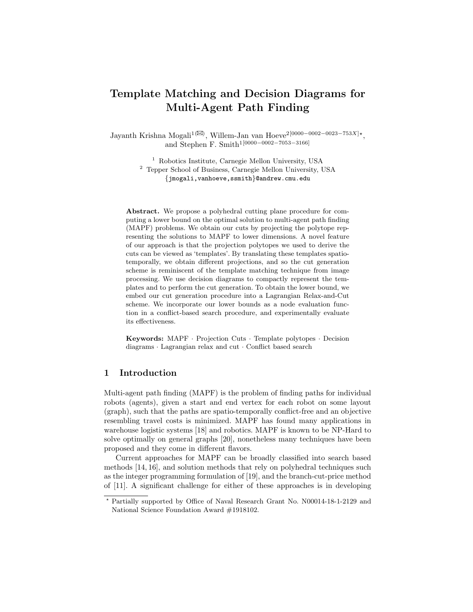# Template Matching and Decision Diagrams for Multi-Agent Path Finding

Jayanth Krishna Mogali<sup>1(⊠)</sup>, Willem-Jan van Hoeve<sup>2[0000–0002–0023–753X]\*</sup>, and Stephen F. Smith<sup>1[0000–0002–7053–3166]</sup>

> <sup>1</sup> Robotics Institute, Carnegie Mellon University, USA <sup>2</sup> Tepper School of Business, Carnegie Mellon University, USA {jmogali,vanhoeve,ssmith}@andrew.cmu.edu

Abstract. We propose a polyhedral cutting plane procedure for computing a lower bound on the optimal solution to multi-agent path finding (MAPF) problems. We obtain our cuts by projecting the polytope representing the solutions to MAPF to lower dimensions. A novel feature of our approach is that the projection polytopes we used to derive the cuts can be viewed as 'templates'. By translating these templates spatiotemporally, we obtain different projections, and so the cut generation scheme is reminiscent of the template matching technique from image processing. We use decision diagrams to compactly represent the templates and to perform the cut generation. To obtain the lower bound, we embed our cut generation procedure into a Lagrangian Relax-and-Cut scheme. We incorporate our lower bounds as a node evaluation function in a conflict-based search procedure, and experimentally evaluate its effectiveness.

Keywords: MAPF · Projection Cuts · Template polytopes · Decision diagrams · Lagrangian relax and cut · Conflict based search

# 1 Introduction

Multi-agent path finding (MAPF) is the problem of finding paths for individual robots (agents), given a start and end vertex for each robot on some layout (graph), such that the paths are spatio-temporally conflict-free and an objective resembling travel costs is minimized. MAPF has found many applications in warehouse logistic systems [18] and robotics. MAPF is known to be NP-Hard to solve optimally on general graphs [20], nonetheless many techniques have been proposed and they come in different flavors.

Current approaches for MAPF can be broadly classified into search based methods [14, 16], and solution methods that rely on polyhedral techniques such as the integer programming formulation of [19], and the branch-cut-price method of [11]. A significant challenge for either of these approaches is in developing

<sup>?</sup> Partially supported by Office of Naval Research Grant No. N00014-18-1-2129 and National Science Foundation Award #1918102.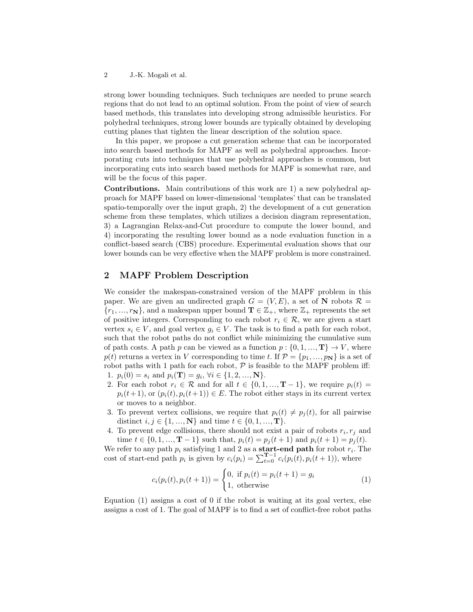strong lower bounding techniques. Such techniques are needed to prune search regions that do not lead to an optimal solution. From the point of view of search based methods, this translates into developing strong admissible heuristics. For polyhedral techniques, strong lower bounds are typically obtained by developing cutting planes that tighten the linear description of the solution space.

In this paper, we propose a cut generation scheme that can be incorporated into search based methods for MAPF as well as polyhedral approaches. Incorporating cuts into techniques that use polyhedral approaches is common, but incorporating cuts into search based methods for MAPF is somewhat rare, and will be the focus of this paper.

Contributions. Main contributions of this work are 1) a new polyhedral approach for MAPF based on lower-dimensional 'templates' that can be translated spatio-temporally over the input graph, 2) the development of a cut generation scheme from these templates, which utilizes a decision diagram representation, 3) a Lagrangian Relax-and-Cut procedure to compute the lower bound, and 4) incorporating the resulting lower bound as a node evaluation function in a conflict-based search (CBS) procedure. Experimental evaluation shows that our lower bounds can be very effective when the MAPF problem is more constrained.

## 2 MAPF Problem Description

We consider the makespan-constrained version of the MAPF problem in this paper. We are given an undirected graph  $G = (V, E)$ , a set of N robots  $\mathcal{R} =$  ${r_1, ..., r_N}$ , and a makespan upper bound  $\mathbf{T} \in \mathbb{Z}_+$ , where  $\mathbb{Z}_+$  represents the set of positive integers. Corresponding to each robot  $r_i \in \mathcal{R}$ , we are given a start vertex  $s_i \in V$ , and goal vertex  $g_i \in V$ . The task is to find a path for each robot, such that the robot paths do not conflict while minimizing the cumulative sum of path costs. A path p can be viewed as a function  $p: \{0, 1, ..., T\} \to V$ , where  $p(t)$  returns a vertex in V corresponding to time t. If  $\mathcal{P} = \{p_1, ..., p_N\}$  is a set of robot paths with 1 path for each robot,  $P$  is feasible to the MAPF problem iff: 1.  $p_i(0) = s_i$  and  $p_i(\mathbf{T}) = g_i, \forall i \in \{1, 2, ..., \mathbf{N}\}.$ 

- 2. For each robot  $r_i \in \mathcal{R}$  and for all  $t \in \{0, 1, ..., T-1\}$ , we require  $p_i(t) =$  $p_i(t+1)$ , or  $(p_i(t), p_i(t+1)) \in E$ . The robot either stays in its current vertex or moves to a neighbor.
- 3. To prevent vertex collisions, we require that  $p_i(t) \neq p_i(t)$ , for all pairwise distinct  $i, j \in \{1, ..., N\}$  and time  $t \in \{0, 1, ..., T\}$ .
- 4. To prevent edge collisions, there should not exist a pair of robots  $r_i, r_j$  and time  $t \in \{0, 1, ..., T - 1\}$  such that,  $p_i(t) = p_j(t+1)$  and  $p_i(t+1) = p_j(t)$ .

We refer to any path  $p_i$  satisfying 1 and 2 as a **start-end path** for robot  $r_i$ . The cost of start-end path  $p_i$  is given by  $c_i(p_i) = \sum_{t=0}^{T-1} c_i(p_i(t), p_i(t+1))$ , where

$$
c_i(p_i(t), p_i(t+1)) = \begin{cases} 0, & \text{if } p_i(t) = p_i(t+1) = g_i \\ 1, & \text{otherwise} \end{cases}
$$
 (1)

Equation (1) assigns a cost of 0 if the robot is waiting at its goal vertex, else assigns a cost of 1. The goal of MAPF is to find a set of conflict-free robot paths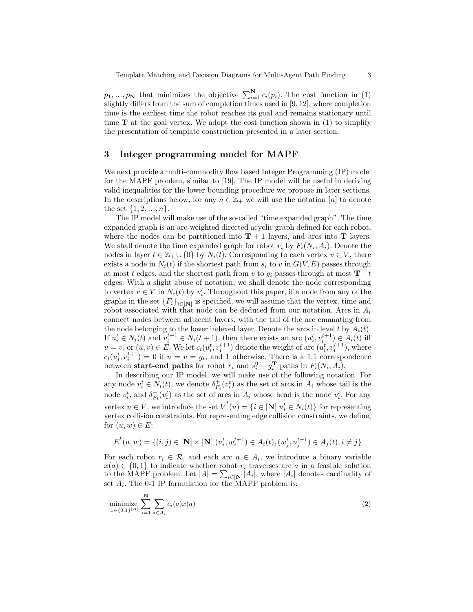$p_1, ..., p_N$  that minimizes the objective  $\sum_{i=1}^{N} c_i(p_i)$ . The cost function in (1) slightly differs from the sum of completion times used in [9, 12], where completion time is the earliest time the robot reaches its goal and remains stationary until time  $\bf{T}$  at the goal vertex. We adopt the cost function shown in (1) to simplify the presentation of template construction presented in a later section.

#### 3 Integer programming model for MAPF

We next provide a multi-commodity flow based Integer Programming (IP) model for the MAPF problem, similar to [19]. The IP model will be useful in deriving valid inequalities for the lower bounding procedure we propose in later sections. In the descriptions below, for any  $n \in \mathbb{Z}_+$  we will use the notation  $[n]$  to denote the set  $\{1, 2, ..., n\}$ .

The IP model will make use of the so-called "time expanded graph". The time expanded graph is an arc-weighted directed acyclic graph defined for each robot, where the nodes can be partitioned into  $T + 1$  layers, and arcs into T layers. We shall denote the time expanded graph for robot  $r_i$  by  $F_i(N_i, A_i)$ . Denote the nodes in layer  $t \in \mathbb{Z}_+ \cup \{0\}$  by  $N_i(t)$ . Corresponding to each vertex  $v \in V$ , there exists a node in  $N_i(t)$  if the shortest path from  $s_i$  to v in  $G(V, E)$  passes through at most t edges, and the shortest path from v to  $g_i$  passes through at most  $\mathbf{T} - t$ edges. With a slight abuse of notation, we shall denote the node corresponding to vertex  $v \in V$  in  $N_i(t)$  by  $v_i^t$ . Throughout this paper, if a node from any of the graphs in the set  ${F_i}_{i \in \mathbf{[N]}}$  is specified, we will assume that the vertex, time and robot associated with that node can be deduced from our notation. Arcs in  $A_i$ connect nodes between adjacent layers, with the tail of the arc emanating from the node belonging to the lower indexed layer. Denote the arcs in level t by  $A_i(t)$ . If  $u_i^t \in N_i(t)$  and  $v_i^{t+1} \in N_i(t+1)$ , then there exists an arc  $(u_i^t, v_i^{t+1}) \in A_i(t)$  iff  $u = v$ , or  $(u, v) \in E$ . We let  $c_i(u_i^t, v_i^{t+1})$  denote the weight of arc  $(u_i^t, v_i^{t+1})$ , where  $c_i(u_i^t, v_i^{t+1}) = 0$  if  $u = v = g_i$ , and 1 otherwise. There is a 1:1 correspondence between start-end paths for robot  $r_i$  and  $s_i^0 - g_i^T$  paths in  $F_i(N_i, A_i)$ .

In describing our IP model, we will make use of the following notation. For any node  $v_i^t \in N_i(t)$ , we denote  $\delta_{F_i}^+(v_i^t)$  as the set of arcs in  $A_i$  whose tail is the node  $v_i^t$ , and  $\delta_{F_i}^-(v_i^t)$  as the set of arcs in  $A_i$  whose head is the node  $v_i^t$ . For any vertex  $u \in V$ , we introduce the set  $\overline{V}^t(u) = \{i \in [\mathbf{N}] | u_i^t \in N_i(t)\}$  for representing vertex collision constraints. For representing edge collision constraints, we define, for  $(u, w) \in E$ :

$$
\overline{E}^{t}(u, w) = \{(i, j) \in [\mathbf{N}] \times [\mathbf{N}] | (u_{i}^{t}, w_{i}^{t+1}) \in A_{i}(t), (w_{j}^{t}, u_{j}^{t+1}) \in A_{j}(t), i \neq j\}
$$

For each robot  $r_i \in \mathcal{R}$ , and each arc  $a \in A_i$ , we introduce a binary variable  $x(a) \in \{0,1\}$  to indicate whether robot  $r_i$  traverses arc a in a feasible solution to the MAPF problem. Let  $|A| = \sum_{i \in [N]} |A_i|$ , where  $|A_i|$  denotes cardinality of set  $A_i$ . The 0-1 IP formulation for the MAPF problem is:

minimize 
$$
\sum_{x \in \{0,1\}^{|A|}} \sum_{i=1}^{N} \sum_{a \in A_i} c_i(a) x(a)
$$
 (2)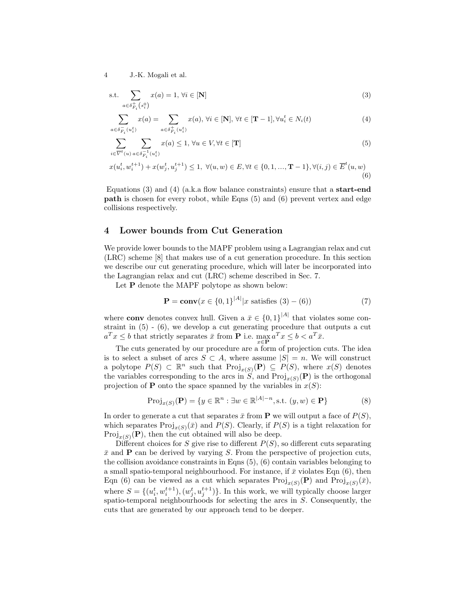$$
\text{s.t.} \sum_{a \in \delta_{F_i}^+(s_i^0)} x(a) = 1, \forall i \in [\mathbf{N}]
$$
\n
$$
(3)
$$

$$
\sum_{a \in \delta_{F_i}^{-} (u_i^t)} x(a) = \sum_{a \in \delta_{F_i}^{+} (u_i^t)} x(a), \forall i \in [\mathbf{N}], \forall t \in [\mathbf{T} - 1], \forall u_i^t \in N_i(t)
$$
\n
$$
\tag{4}
$$

$$
\sum_{i \in \overline{V}^t(u)} \sum_{a \in \delta_{F_i}^{-1}(u_i^t)} x(a) \le 1, \forall u \in V, \forall t \in [\mathbf{T}]
$$
\n
$$
(5)
$$

$$
x(u_i^t, w_i^{t+1}) + x(w_j^t, u_j^{t+1}) \le 1, \ \forall (u, w) \in E, \forall t \in \{0, 1, ..., \mathbf{T} - 1\}, \forall (i, j) \in \overline{E}^t(u, w)
$$
\n
$$
(6)
$$

Equations (3) and (4) (a.k.a flow balance constraints) ensure that a **start-end** path is chosen for every robot, while Eqns (5) and (6) prevent vertex and edge collisions respectively.

#### 4 Lower bounds from Cut Generation

We provide lower bounds to the MAPF problem using a Lagrangian relax and cut (LRC) scheme [8] that makes use of a cut generation procedure. In this section we describe our cut generating procedure, which will later be incorporated into the Lagrangian relax and cut (LRC) scheme described in Sec. 7.

Let **P** denote the MAPF polytope as shown below:

$$
\mathbf{P} = \mathbf{conv}(x \in \{0, 1\}^{|A|} | x \text{ satisfies } (3) - (6))
$$
 (7)

where **conv** denotes convex hull. Given a  $\bar{x} \in \{0,1\}^{|A|}$  that violates some constraint in (5) - (6), we develop a cut generating procedure that outputs a cut  $a^T x \leq b$  that strictly separates  $\bar{x}$  from **P** i.e.  $\max_{x \in \mathbf{P}} a^T x \leq b < a^T \bar{x}$ .

The cuts generated by our procedure are a form of projection cuts. The idea is to select a subset of arcs  $S \subset A$ , where assume  $|S| = n$ . We will construct a polytope  $P(S) \subset \mathbb{R}^n$  such that  $\text{Proj}_{x(S)}(P) \subseteq P(S)$ , where  $x(S)$  denotes the variables corresponding to the arcs in  $S$ , and  $\text{Proj}_{x(S)}(\mathbf{P})$  is the orthogonal projection of **P** onto the space spanned by the variables in  $x(S)$ :

$$
\text{Proj}_{x(S)}(\mathbf{P}) = \{ y \in \mathbb{R}^n : \exists w \in \mathbb{R}^{|A|-n}, \text{s.t. } (y, w) \in \mathbf{P} \}
$$
(8)

In order to generate a cut that separates  $\bar{x}$  from **P** we will output a face of  $P(S)$ , which separates  $\text{Proj}_{x(S)}(\bar{x})$  and  $P(S)$ . Clearly, if  $P(S)$  is a tight relaxation for  $Proj_{x(S)}(\mathbf{P})$ , then the cut obtained will also be deep.

Different choices for S give rise to different  $P(S)$ , so different cuts separating  $\bar{x}$  and **P** can be derived by varying S. From the perspective of projection cuts, the collision avoidance constraints in Eqns (5), (6) contain variables belonging to a small spatio-temporal neighbourhood. For instance, if  $\bar{x}$  violates Eqn (6), then Eqn (6) can be viewed as a cut which separates  $\text{Proj}_{x(S)}(\mathbf{P})$  and  $\text{Proj}_{x(S)}(\bar{x})$ , where  $S = \{(u_i^t, w_i^{t+1}), (w_j^t, u_j^{t+1})\}$ . In this work, we will typically choose larger spatio-temporal neighbourhoods for selecting the arcs in S. Consequently, the cuts that are generated by our approach tend to be deeper.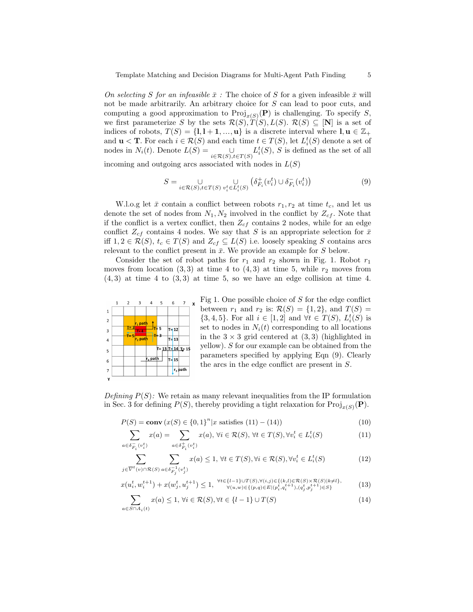On selecting S for an infeasible  $\bar{x}$ : The choice of S for a given infeasible  $\bar{x}$  will not be made arbitrarily. An arbitrary choice for S can lead to poor cuts, and computing a good approximation to  $\text{Proj}_{x(S)}(\mathbf{P})$  is challenging. To specify S, we first parameterize S by the sets  $\mathcal{R}(S), T(S), L(S)$ .  $\mathcal{R}(S) \subseteq [\mathbf{N}]$  is a set of indices of robots,  $T(S) = \{1, 1 + 1, ..., u\}$  is a discrete interval where  $l, u \in \mathbb{Z}_+$ and  $\mathbf{u} < \mathbf{T}$ . For each  $i \in \mathcal{R}(S)$  and each time  $t \in T(S)$ , let  $L_i^t(S)$  denote a set of nodes in  $N_i(t)$ . Denote  $L(S) =$  $\bigcup_{i \in \mathcal{R}(S), i \in T(S)} L_i^t(S), S$  is defined as the set of all

incoming and outgoing arcs associated with nodes in  $L(S)$ 

$$
S = \bigcup_{i \in \mathcal{R}(S), t \in T(S)} \bigcup_{v_i^t \in L_i^t(S)} \left( \delta_{F_i}^+(v_i^t) \cup \delta_{F_i}^-(v_i^t) \right) \tag{9}
$$

W.l.o.g let  $\bar{x}$  contain a conflict between robots  $r_1, r_2$  at time  $t_c$ , and let us denote the set of nodes from  $N_1, N_2$  involved in the conflict by  $Z_{cf}$ . Note that if the conflict is a vertex conflict, then  $Z_{cf}$  contains 2 nodes, while for an edge conflict  $Z_{cf}$  contains 4 nodes. We say that S is an appropriate selection for  $\bar{x}$ iff  $1, 2 \in \mathcal{R}(S)$ ,  $t_c \in T(S)$  and  $Z_{cf} \subseteq L(S)$  i.e. loosely speaking S contains arcs relevant to the conflict present in  $\bar{x}$ . We provide an example for S below.

Consider the set of robot paths for  $r_1$  and  $r_2$  shown in Fig. 1. Robot  $r_1$ moves from location  $(3,3)$  at time 4 to  $(4,3)$  at time 5, while  $r_2$  moves from  $(4,3)$  at time 4 to  $(3,3)$  at time 5, so we have an edge collision at time 4.



Fig 1. One possible choice of  $S$  for the edge conflict between  $r_1$  and  $r_2$  is:  $\mathcal{R}(S) = \{1, 2\}$ , and  $T(S) =$  $\{3, 4, 5\}$ . For all  $i \in [1, 2]$  and  $\forall t \in T(S)$ ,  $L_i^t(S)$  is set to nodes in  $N_i(t)$  corresponding to all locations in the  $3 \times 3$  grid centered at  $(3,3)$  (highlighted in yellow). S for our example can be obtained from the parameters specified by applying Eqn (9). Clearly the arcs in the edge conflict are present in S.

Defining  $P(S)$ : We retain as many relevant inequalities from the IP formulation in Sec. 3 for defining  $P(S)$ , thereby providing a tight relaxation for  $\text{Proj}_{x(S)}(\mathbf{P})$ .

$$
P(S) = \mathbf{conv}\left(x(S) \in \{0, 1\}^n | x \text{ satisfies } (11) - (14)\right) \tag{10}
$$

$$
\sum_{a \in \delta_{F_i}^-(v_i^t)} x(a) = \sum_{a \in \delta_{F_i}^+(v_i^t)} x(a), \forall i \in \mathcal{R}(S), \forall t \in T(S), \forall v_i^t \in L_i^t(S)
$$
\n(11)

$$
\sum_{j \in \overline{V}^t(v) \cap \mathcal{R}(S)} \sum_{a \in \delta_{F_j}^{-1}(v_j^t)} x(a) \le 1, \,\forall t \in T(S), \forall i \in \mathcal{R}(S), \forall v_i^t \in L_i^t(S)
$$
\n
$$
(12)
$$

$$
x(u_i^t, w_i^{t+1}) + x(w_j^t, u_j^{t+1}) \le 1, \quad \forall t \in \{l-1\} \cup T(S), \forall (i, j) \in \{(k, l) \in T(S) \times T(S) \times T(S) | k \ne l\},\tag{13}
$$

$$
\sum_{a \in S \cap A_i(t)} x(a) \le 1, \forall i \in \mathcal{R}(S), \forall t \in \{l-1\} \cup T(S)
$$
\n(14)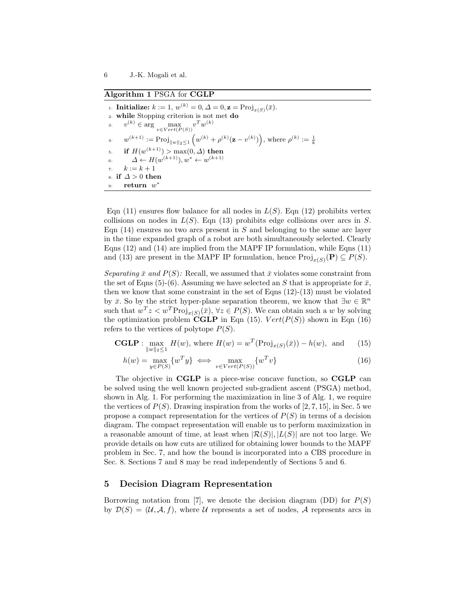Algorithm 1 PSGA for CGLP

1: **Initialize:**  $k := 1, w^{(k)} = 0, \Delta = 0, \mathbf{z} = \text{Proj}_{x(S)}(\bar{x}).$ 2: while Stopping criterion is not met do 3:  $v^{(k)} \in \arg \max_{v \in Vert(P(S))} v^T w^{(k)}$ 4:  $w^{(k+1)} := \text{Proj}_{\|w\|_2 \leq 1} (w^{(k)} + \rho^{(k)}(\mathbf{z} - v^{(k)})), \text{ where } \rho^{(k)} := \frac{1}{k}$ 5: if  $H(w^{(k+1)}) > \max(0, \Delta)$  then 6:  $\Delta \leftarrow H(w^{(k+1)}), w^* \leftarrow w^{(k+1)}$ 7:  $k := k + 1$ 8: if  $\Delta > 0$  then 9: **return**  $w^*$ 

Eqn (11) ensures flow balance for all nodes in  $L(S)$ . Eqn (12) prohibits vertex collisions on nodes in  $L(S)$ . Eqn (13) prohibits edge collisions over arcs in S. Eqn  $(14)$  ensures no two arcs present in S and belonging to the same arc layer in the time expanded graph of a robot are both simultaneously selected. Clearly Eqns  $(12)$  and  $(14)$  are implied from the MAPF IP formulation, while Eqns  $(11)$ and (13) are present in the MAPF IP formulation, hence  $\text{Proj}_{x(S)}(\mathbf{P}) \subseteq P(S)$ .

Separating  $\bar{x}$  and  $P(S)$ : Recall, we assumed that  $\bar{x}$  violates some constraint from the set of Eqns (5)-(6). Assuming we have selected an S that is appropriate for  $\bar{x}$ , then we know that some constraint in the set of Eqns  $(12)-(13)$  must be violated by  $\bar{x}$ . So by the strict hyper-plane separation theorem, we know that  $\exists w \in \mathbb{R}^n$ such that  $w^T z < w^T \text{Proj}_{x(S)}(\bar{x}), \forall z \in P(S)$ . We can obtain such a w by solving the optimization problem  $\widetilde{\mathbf{CGLP}}$  in Eqn (15).  $Vert(P(S))$  shown in Eqn (16) refers to the vertices of polytope  $P(S)$ .

$$
\mathbf{CGLP}: \max_{\|w\|_2 \le 1} H(w), \text{ where } H(w) = w^T(\text{Proj}_{x(S)}(\bar{x})) - h(w), \text{ and } (15)
$$

$$
h(w) = \max_{y \in P(S)} \{w^T y\} \iff \max_{v \in Vert(P(S))} \{w^T v\}
$$
\n(16)

The objective in CGLP is a piece-wise concave function, so CGLP can be solved using the well known projected sub-gradient ascent (PSGA) method, shown in Alg. 1. For performing the maximization in line 3 of Alg. 1, we require the vertices of  $P(S)$ . Drawing inspiration from the works of [2, 7, 15], in Sec. 5 we propose a compact representation for the vertices of  $P(S)$  in terms of a decision diagram. The compact representation will enable us to perform maximization in a reasonable amount of time, at least when  $|\mathcal{R}(S)|, |L(S)|$  are not too large. We provide details on how cuts are utilized for obtaining lower bounds to the MAPF problem in Sec. 7, and how the bound is incorporated into a CBS procedure in Sec. 8. Sections 7 and 8 may be read independently of Sections 5 and 6.

# 5 Decision Diagram Representation

Borrowing notation from [7], we denote the decision diagram (DD) for  $P(S)$ by  $\mathcal{D}(S) = (\mathcal{U}, \mathcal{A}, f)$ , where  $\mathcal U$  represents a set of nodes,  $\mathcal A$  represents arcs in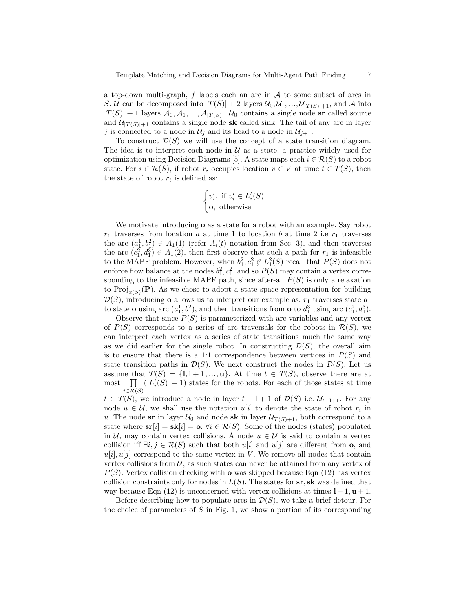a top-down multi-graph,  $f$  labels each an arc in  $A$  to some subset of arcs in S. U can be decomposed into  $|T(S)| + 2$  layers  $\mathcal{U}_0, \mathcal{U}_1, ..., \mathcal{U}_{|T(S)|+1}$ , and A into  $|T(S)| + 1$  layers  $\mathcal{A}_0, \mathcal{A}_1, ..., \mathcal{A}_{|T(S)|}$ .  $\mathcal{U}_0$  contains a single node sr called source and  $\mathcal{U}_{|T(S)|+1}$  contains a single node sk called sink. The tail of any arc in layer j is connected to a node in  $\mathcal{U}_i$  and its head to a node in  $\mathcal{U}_{i+1}$ .

To construct  $\mathcal{D}(S)$  we will use the concept of a state transition diagram. The idea is to interpret each node in  $\mathcal U$  as a state, a practice widely used for optimization using Decision Diagrams [5]. A state maps each  $i \in \mathcal{R}(S)$  to a robot state. For  $i \in \mathcal{R}(S)$ , if robot  $r_i$  occupies location  $v \in V$  at time  $t \in T(S)$ , then the state of robot  $r_i$  is defined as:

$$
\begin{cases} v_i^t, & \text{if } v_i^t \in L_i^t(S) \\ \mathbf{o}, & \text{otherwise} \end{cases}
$$

We motivate introducing o as a state for a robot with an example. Say robot  $r_1$  traverses from location a at time 1 to location b at time 2 i.e  $r_1$  traverses the arc  $(a_1^1, b_1^2) \in A_1(1)$  (refer  $A_i(t)$  notation from Sec. 3), and then traverses the arc  $(c_1^2, d_1^3) \in A_1(2)$ , then first observe that such a path for  $r_1$  is infeasible to the MAPF problem. However, when  $b_1^2, c_1^2 \notin L_1^2(S)$  recall that  $P(S)$  does not enforce flow balance at the nodes  $b_1^2, c_1^2$ , and so  $P(S)$  may contain a vertex corresponding to the infeasible MAPF path, since after-all  $P(S)$  is only a relaxation to  $\text{Proj}_{x(S)}(\mathbf{P})$ . As we chose to adopt a state space representation for building  $\mathcal{D}(S)$ , introducing **o** allows us to interpret our example as:  $r_1$  traverses state  $a_1^1$ to state **o** using arc  $(a_1^1, b_1^2)$ , and then transitions from **o** to  $d_1^3$  using arc  $(c_1^2, d_1^3)$ .

Observe that since  $P(S)$  is parameterized with arc variables and any vertex of  $P(S)$  corresponds to a series of arc traversals for the robots in  $\mathcal{R}(S)$ , we can interpret each vertex as a series of state transitions much the same way as we did earlier for the single robot. In constructing  $\mathcal{D}(S)$ , the overall aim is to ensure that there is a 1:1 correspondence between vertices in  $P(S)$  and state transition paths in  $\mathcal{D}(S)$ . We next construct the nodes in  $\mathcal{D}(S)$ . Let us assume that  $T(S) = \{1, 1 + 1, ..., u\}$ . At time  $t \in T(S)$ , observe there are at  ${\rm most}$  $i{\in}\mathcal{R}(\mathcal{S})$  $(|L_i^t(S)|+1)$  states for the robots. For each of those states at time

 $t \in T(S)$ , we introduce a node in layer  $t - 1 + 1$  of  $\mathcal{D}(S)$  i.e.  $\mathcal{U}_{t-1+1}$ . For any node  $u \in \mathcal{U}$ , we shall use the notation  $u[i]$  to denote the state of robot  $r_i$  in u. The node sr in layer  $U_0$  and node sk in layer  $U_{T(S)+1}$ , both correspond to a state where  $\mathbf{sr}[i] = \mathbf{sk}[i] = \mathbf{o}, \forall i \in \mathcal{R}(S)$ . Some of the nodes (states) populated in U, may contain vertex collisions. A node  $u \in U$  is said to contain a vertex collision iff  $\exists i, j \in \mathcal{R}(S)$  such that both  $u[i]$  and  $u[j]$  are different from **o**, and  $u[i], u[j]$  correspond to the same vertex in V. We remove all nodes that contain vertex collisions from  $U$ , as such states can never be attained from any vertex of  $P(S)$ . Vertex collision checking with **o** was skipped because Eqn (12) has vertex collision constraints only for nodes in  $L(S)$ . The states for  $sr, sk$  was defined that way because Eqn (12) is unconcerned with vertex collisions at times  $l - 1$ ,  $u + 1$ .

Before describing how to populate arcs in  $\mathcal{D}(S)$ , we take a brief detour. For the choice of parameters of  $S$  in Fig. 1, we show a portion of its corresponding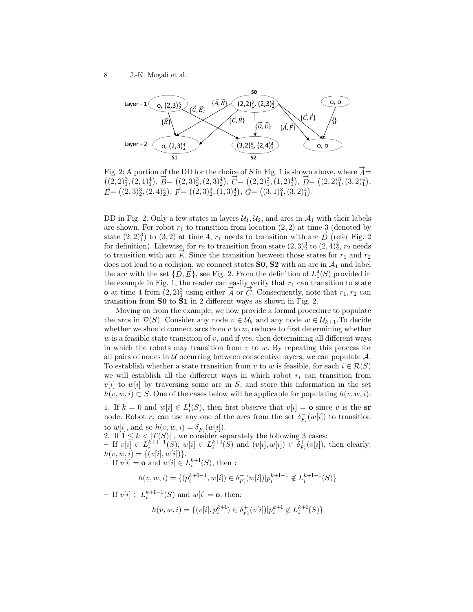

Fig. 2: A portion of the DD for the choice of S in Fig. 1 is shown above, where  $\overrightarrow{A}$  $(2, 2)_1^3, (2, 1)_1^4$ ,  $\vec{B} = ((2, 3)_2^3, (2, 3)_2^4)$ ,  $\vec{C} = ((2, 2)_1^3, (1, 2)_1^4)$ ,  $\vec{D} = ((2, 2)_1^3, (3, 2)_1^4)$ ,  $\vec{E} = ((2, 3)_2^3, (2, 4)_2^4), \vec{F} = ((2, 3)_2^3, (1, 3)_2^4), \vec{G} = ((3, 1)_1^3, (3, 2)_1^4).$ 

DD in Fig. 2. Only a few states in layers  $\mathcal{U}_1, \mathcal{U}_2$ , and arcs in  $\mathcal{A}_1$  with their labels are shown. For robot  $r_1$  to transition from location  $(2, 2)$  at time 3 (denoted by state  $(2, 2)^3$  to  $(3, 2)$  at time 4,  $r_1$  needs to transition with arc  $\overrightarrow{D}$  (refer Fig. 2) for definition). Likewise, for  $r_2$  to transition from state  $(2,3)_2^3$  to  $(2,4)_2^4$ ,  $r_2$  needs to transition with arc  $\dot{E}$ . Since the transition between those states for  $r_1$  and  $r_2$ does not lead to a collision, we connect states **S0**, **S2** with an arc in  $A_1$  and label the arc with the set  $\{\overrightarrow{D}, \overrightarrow{E}\}$ , see Fig. 2. From the definition of  $L_1^4(S)$  provided in the example in Fig. 1, the reader can easily verify that  $r_1$  can transition to state **o** at time 4 from  $(2,2)_1^3$  using either  $\vec{A}$  or  $\vec{C}$ . Consequently, note that  $r_1, r_2$  can transition from S0 to S1 in 2 different ways as shown in Fig. 2.

Moving on from the example, we now provide a formal procedure to populate the arcs in  $\mathcal{D}(S)$ . Consider any node  $v \in \mathcal{U}_k$  and any node  $w \in \mathcal{U}_{k+1}$ . To decide whether we should connect arcs from  $v$  to  $w$ , reduces to first determining whether  $w$  is a feasible state transition of  $v$ , and if yes, then determining all different ways in which the robots may transition from  $v$  to  $w$ . By repeating this process for all pairs of nodes in  $U$  occurring between consecutive layers, we can populate  $\mathcal{A}$ . To establish whether a state transition from v to w is feasible, for each  $i \in \mathcal{R}(S)$ we will establish all the different ways in which robot  $r_i$  can transition from  $v[i]$  to  $w[i]$  by traversing some arc in S, and store this information in the set  $h(v, w, i) \subset S$ . One of the cases below will be applicable for populating  $h(v, w, i)$ :

1. If  $k = 0$  and  $w[i] \in L_i^1(S)$ , then first observe that  $v[i] = \mathbf{o}$  since v is the sr node. Robot  $r_i$  can use any one of the arcs from the set  $\delta_{F_i}^-(w[i])$  to transition to  $w[i]$ , and so  $h(v, w, i) = \delta_{F_i}^-(w[i])$ .

2. If  $1 \leq k < |T(S)|$ , we consider separately the following 3 cases:  $-$  If  $v[i] \in L_i^{k+1-1}(S)$ ,  $w[i] \in L_i^{k+1}(S)$  and  $(v[i], w[i]) \in \delta_{F_i}^+(v[i])$ , then clearly:  $h(v, w, i) = \{ (v[i], w[i]) \}.$  $-[If v[i] = \mathbf{o} \text{ and } w[i] \in L_i^{k+1}(S), \text{ then :}$ 

$$
h(v,w,i) = \{(p_i^{k+1-1}, w[i]) \in \delta^-_{F_i}(w[i])| p_i^{k+1-1} \not \in L_i^{k+1-1}(S)\}
$$

- If  $v[i] \in L_i^{k+1-1}(S)$  and  $w[i] = \mathbf{o}$ , then:

$$
h(v,w,i) = \{(v[i], p_i^{k+1}) \in \delta_{F_i}^+(v[i]) | p_i^{k+1} \not \in L_i^{k+1}(S) \}
$$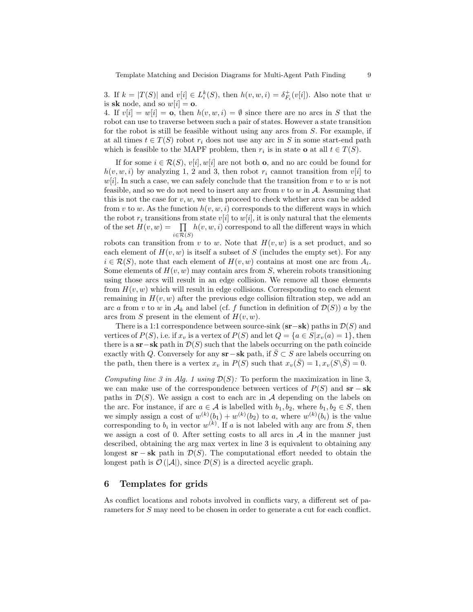3. If  $k = |T(S)|$  and  $v[i] \in L_i^k(S)$ , then  $h(v, w, i) = \delta_{F_i}^+(v[i])$ . Also note that w is sk node, and so  $w[i] = o$ .

4. If  $v[i] = w[i] = o$ , then  $h(v, w, i) = \emptyset$  since there are no arcs in S that the robot can use to traverse between such a pair of states. However a state transition for the robot is still be feasible without using any arcs from S. For example, if at all times  $t \in T(S)$  robot  $r_i$  does not use any arc in S in some start-end path which is feasible to the MAPF problem, then  $r_i$  is in state **o** at all  $t \in T(S)$ .

If for some  $i \in \mathcal{R}(S), v[i], w[i]$  are not both **o**, and no arc could be found for  $h(v, w, i)$  by analyzing 1, 2 and 3, then robot  $r_i$  cannot transition from  $v[i]$  to  $w[i]$ . In such a case, we can safely conclude that the transition from v to w is not feasible, and so we do not need to insert any arc from  $v$  to  $w$  in  $A$ . Assuming that this is not the case for  $v, w$ , we then proceed to check whether arcs can be added from v to w. As the function  $h(v, w, i)$  corresponds to the different ways in which the robot r<sub>i</sub> transitions from state v[i] to w[i], it is only natural that the elements of the set  $H(v, w) = \prod h(v, w, i)$  correspond to all the different ways in which  $i \in \mathcal{R}(S)$ 

robots can transition from v to w. Note that  $H(v, w)$  is a set product, and so each element of  $H(v, w)$  is itself a subset of S (includes the empty set). For any  $i \in \mathcal{R}(S)$ , note that each element of  $H(v, w)$  contains at most one arc from  $A_i$ . Some elements of  $H(v, w)$  may contain arcs from S, wherein robots transitioning using those arcs will result in an edge collision. We remove all those elements from  $H(v, w)$  which will result in edge collisions. Corresponding to each element remaining in  $H(v, w)$  after the previous edge collision filtration step, we add an arc a from v to w in  $\mathcal{A}_k$  and label (cf. f function in definition of  $\mathcal{D}(S)$ ) a by the arcs from S present in the element of  $H(v, w)$ .

There is a 1:1 correspondence between source-sink  $(s\mathbf{r}-s\mathbf{k})$  paths in  $\mathcal{D}(S)$  and vertices of  $P(S)$ , i.e. if  $x_v$  is a vertex of  $P(S)$  and let  $Q = \{a \in S | x_v(a) = 1\}$ , then there is a sr−sk path in  $\mathcal{D}(S)$  such that the labels occurring on the path coincide exactly with Q. Conversely for any  $\mathbf{sr}-\mathbf{sk}$  path, if  $\overline{S} \subset S$  are labels occurring on the path, then there is a vertex  $x_v$  in  $P(S)$  such that  $x_v(\bar{S}) = 1, x_v(S\backslash \bar{S}) = 0$ .

Computing line 3 in Alg. 1 using  $\mathcal{D}(S)$ : To perform the maximization in line 3, we can make use of the correspondence between vertices of  $P(S)$  and  $sr - sk$ paths in  $\mathcal{D}(S)$ . We assign a cost to each arc in A depending on the labels on the arc. For instance, if arc  $a \in \mathcal{A}$  is labelled with  $b_1, b_2$ , where  $b_1, b_2 \in S$ , then we simply assign a cost of  $w^{(k)}(b_1) + w^{(k)}(b_2)$  to a, where  $w^{(k)}(b_i)$  is the value corresponding to  $b_i$  in vector  $w^{(k)}$ . If a is not labeled with any arc from S, then we assign a cost of 0. After setting costs to all arcs in  $A$  in the manner just described, obtaining the arg max vertex in line 3 is equivalent to obtaining any longest  $\mathbf{sr} - \mathbf{sk}$  path in  $\mathcal{D}(S)$ . The computational effort needed to obtain the longest path is  $\mathcal{O}(|\mathcal{A}|)$ , since  $\mathcal{D}(S)$  is a directed acyclic graph.

# 6 Templates for grids

As conflict locations and robots involved in conflicts vary, a different set of parameters for S may need to be chosen in order to generate a cut for each conflict.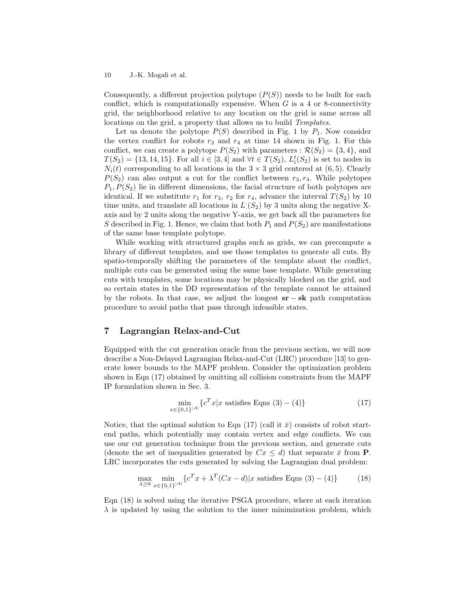Consequently, a different projection polytope  $(P(S))$  needs to be built for each conflict, which is computationally expensive. When  $G$  is a 4 or 8-connectivity grid, the neighborhood relative to any location on the grid is same across all locations on the grid, a property that allows us to build Templates.

Let us denote the polytope  $P(S)$  described in Fig. 1 by  $P_1$ . Now consider the vertex conflict for robots  $r_3$  and  $r_4$  at time 14 shown in Fig. 1. For this conflict, we can create a polytope  $P(S_2)$  with parameters :  $\mathcal{R}(S_2) = \{3, 4\}$ , and  $T(S_2) = \{13, 14, 15\}$ . For all  $i \in [3, 4]$  and  $\forall t \in T(S_2)$ ,  $L_i^t(S_2)$  is set to nodes in  $N_i(t)$  corresponding to all locations in the  $3 \times 3$  grid centered at (6,5). Clearly  $P(S_2)$  can also output a cut for the conflict between  $r_3, r_4$ . While polytopes  $P_1, P(S_2)$  lie in different dimensions, the facial structure of both polytopes are identical. If we substitute  $r_1$  for  $r_3$ ,  $r_2$  for  $r_4$ , advance the interval  $T(S_2)$  by 10 time units, and translate all locations in  $L(S_2)$  by 3 units along the negative Xaxis and by 2 units along the negative Y-axis, we get back all the parameters for S described in Fig. 1. Hence, we claim that both  $P_1$  and  $P(S_2)$  are manifestations of the same base template polytope.

While working with structured graphs such as grids, we can precompute a library of different templates, and use those templates to generate all cuts. By spatio-temporally shifting the parameters of the template about the conflict, multiple cuts can be generated using the same base template. While generating cuts with templates, some locations may be physically blocked on the grid, and so certain states in the DD representation of the template cannot be attained by the robots. In that case, we adjust the longest  $sr - sk$  path computation procedure to avoid paths that pass through infeasible states.

# 7 Lagrangian Relax-and-Cut

 $\boldsymbol{x}$ 

Equipped with the cut generation oracle from the previous section, we will now describe a Non-Delayed Lagrangian Relax-and-Cut (LRC) procedure [13] to generate lower bounds to the MAPF problem. Consider the optimization problem shown in Eqn (17) obtained by omitting all collision constraints from the MAPF IP formulation shown in Sec. 3.

$$
\min_{\in \{0,1\}^{|A|}} \{c^T x | x \text{ satisfies Eqns } (3) - (4)\}\tag{17}
$$

Notice, that the optimal solution to Eqn  $(17)$  (call it  $\bar{x}$ ) consists of robot startend paths, which potentially may contain vertex and edge conflicts. We can use our cut generation technique from the previous section, and generate cuts (denote the set of inequalities generated by  $Cx \leq d$ ) that separate  $\bar{x}$  from **P**. LRC incorporates the cuts generated by solving the Lagrangian dual problem:

$$
\max_{\lambda \ge 0} \min_{x \in \{0,1\}^{|A|}} \{c^T x + \lambda^T (Cx - d)|x \text{ satisfies Eqns (3) - (4)}\} \tag{18}
$$

Eqn (18) is solved using the iterative PSGA procedure, where at each iteration  $\lambda$  is updated by using the solution to the inner minimization problem, which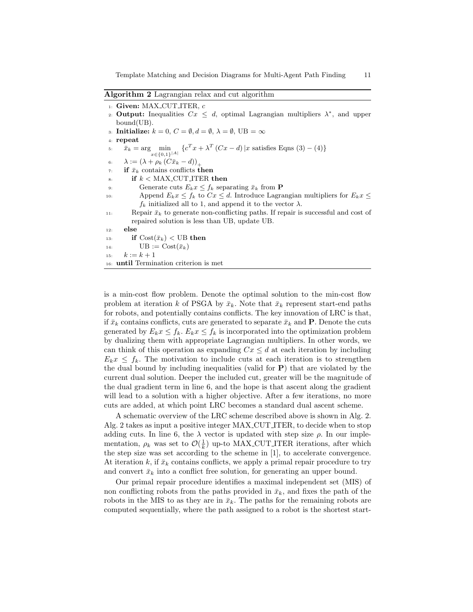Template Matching and Decision Diagrams for Multi-Agent Path Finding 11

Algorithm 2 Lagrangian relax and cut algorithm

| $_1$ : Given: MAX_CUT_ITER, $c$ |
|---------------------------------|
|---------------------------------|

2. **Output:** Inequalities  $Cx \leq d$ , optimal Lagrangian multipliers  $\lambda^*$ , and upper bound(UB).

3: Initialize:  $k = 0, C = \emptyset, d = \emptyset, \lambda = \emptyset, \text{UB} = \infty$ 

4: repeat

- 5:  $\bar{x}_k = \arg \min_{x \in \{0,1\}^{|A|}} \{c^T x + \lambda^T (Cx d) | x \text{ satisfies Eqns (3) (4)}\}$ 6:  $\lambda := (\lambda + \rho_k (C\bar{x}_k - d))_+$
- $\tau$ : if  $\bar{x}_k$  contains conflicts then
- $\epsilon$  if  $k <$  MAX\_CUT\_ITER then

9: Generate cuts  $E_k x \leq f_k$  separating  $\bar{x}_k$  from **P** 10: Append  $E_k x \leq f_k$  to  $Cx \leq d$ . Introduce Lagrangian multipliers for  $E_k x \leq$  $f_k$  initialized all to 1, and append it to the vector  $\lambda$ .

- 11: Repair  $\bar{x}_k$  to generate non-conflicting paths. If repair is successful and cost of repaired solution is less than UB, update UB.
- 12: else

13: if  $\text{Cost}(\bar{x}_k) < \text{UB}$  then

$$
14: \qquad \qquad \text{UB} := \text{Cost}(\bar{x}_k)
$$

15:  $k := k + 1$ 

16: until Termination criterion is met

is a min-cost flow problem. Denote the optimal solution to the min-cost flow problem at iteration k of PSGA by  $\bar{x}_k$ . Note that  $\bar{x}_k$  represent start-end paths for robots, and potentially contains conflicts. The key innovation of LRC is that, if  $\bar{x}_k$  contains conflicts, cuts are generated to separate  $\bar{x}_k$  and **P**. Denote the cuts generated by  $E_k x \leq f_k$ .  $E_k x \leq f_k$  is incorporated into the optimization problem by dualizing them with appropriate Lagrangian multipliers. In other words, we can think of this operation as expanding  $Cx \leq d$  at each iteration by including  $E_k x \leq f_k$ . The motivation to include cuts at each iteration is to strengthen the dual bound by including inequalities (valid for  $P$ ) that are violated by the current dual solution. Deeper the included cut, greater will be the magnitude of the dual gradient term in line 6, and the hope is that ascent along the gradient will lead to a solution with a higher objective. After a few iterations, no more cuts are added, at which point LRC becomes a standard dual ascent scheme.

A schematic overview of the LRC scheme described above is shown in Alg. 2. Alg. 2 takes as input a positive integer MAX CUT ITER, to decide when to stop adding cuts. In line 6, the  $\lambda$  vector is updated with step size  $\rho$ . In our implementation,  $\rho_k$  was set to  $\mathcal{O}(\frac{1}{k})$  up-to MAX\_CUT\_ITER iterations, after which the step size was set according to the scheme in [1], to accelerate convergence. At iteration k, if  $\bar{x}_k$  contains conflicts, we apply a primal repair procedure to try and convert  $\bar{x}_k$  into a conflict free solution, for generating an upper bound.

Our primal repair procedure identifies a maximal independent set (MIS) of non conflicting robots from the paths provided in  $\bar{x}_k$ , and fixes the path of the robots in the MIS to as they are in  $\bar{x}_k$ . The paths for the remaining robots are computed sequentially, where the path assigned to a robot is the shortest start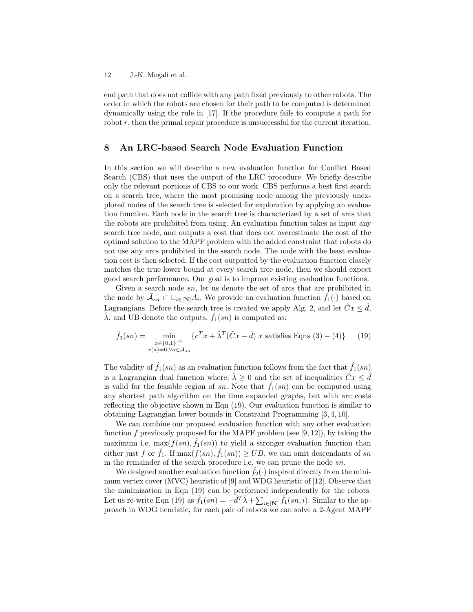end path that does not collide with any path fixed previously to other robots. The order in which the robots are chosen for their path to be computed is determined dynamically using the rule in [17]. If the procedure fails to compute a path for robot  $r$ , then the primal repair procedure is unsuccessful for the current iteration.

# 8 An LRC-based Search Node Evaluation Function

In this section we will describe a new evaluation function for Conflict Based Search (CBS) that uses the output of the LRC procedure. We briefly describe only the relevant portions of CBS to our work. CBS performs a best first search on a search tree, where the most promising node among the previously unexplored nodes of the search tree is selected for exploration by applying an evaluation function. Each node in the search tree is characterized by a set of arcs that the robots are prohibited from using. An evaluation function takes as input any search tree node, and outputs a cost that does not overestimate the cost of the optimal solution to the MAPF problem with the added constraint that robots do not use any arcs prohibited in the search node. The node with the least evaluation cost is then selected. If the cost outputted by the evaluation function closely matches the true lower bound at every search tree node, then we should expect good search performance. Our goal is to improve existing evaluation functions.

Given a search node sn, let us denote the set of arcs that are prohibited in the node by  $\bar{\mathcal{A}}_{sn} \subset \cup_{i \in [\mathbf{N}]} A_i$ . We provide an evaluation function  $\hat{f}_1(\cdot)$  based on Lagrangians. Before the search tree is created we apply Alg. 2, and let  $\hat{C}x \leq \hat{d}$ ,  $\hat{\lambda}$ , and UB denote the outputs.  $\hat{f}_1(sn)$  is computed as:

$$
\hat{f}_1(sn) = \min_{\substack{x \in \{0,1\}^{|A|} \\ x(a) = 0, \forall a \in \bar{\mathcal{A}}_{sn}}} \{c^T x + \hat{\lambda}^T (\hat{C}x - \hat{d}) | x \text{ satisfies Eqns (3) - (4)}\} \tag{19}
$$

The validity of  $f_1(sn)$  as an evaluation function follows from the fact that  $f_1(sn)$ is a Lagrangian dual function where,  $\lambda \geq 0$  and the set of inequalities  $\hat{C}x \leq \hat{d}$ is valid for the feasible region of sn. Note that  $\hat{f}_1$ (sn) can be computed using any shortest path algorithm on the time expanded graphs, but with arc costs reflecting the objective shown in Eqn (19). Our evaluation function is similar to obtaining Lagrangian lower bounds in Constraint Programming [3, 4, 10].

We can combine our proposed evaluation function with any other evaluation function f previously proposed for the MAPF problem (see  $[9, 12]$ ), by taking the maximum i.e.  $\max(f(sn), \hat{f}_1(sn))$  to yield a stronger evaluation function than either just f or  $\hat{f}_1$ . If  $\max(f(sn), \hat{f}_1(sn)) \geq UB$ , we can omit descendants of sn in the remainder of the search procedure i.e. we can prune the node sn.

We designed another evaluation function  $f_2(\cdot)$  inspired directly from the minimum vertex cover (MVC) heuristic of [9] and WDG heuristic of [12]. Observe that the minimization in Eqn (19) can be performed independently for the robots. Let us re-write Eqn (19) as  $\hat{f}_1(sn) = -\hat{d}^T \hat{\lambda} + \sum_{i \in [\mathbf{N}]} \hat{f}_1(sn, i)$ . Similar to the approach in WDG heuristic, for each pair of robots we can solve a 2-Agent MAPF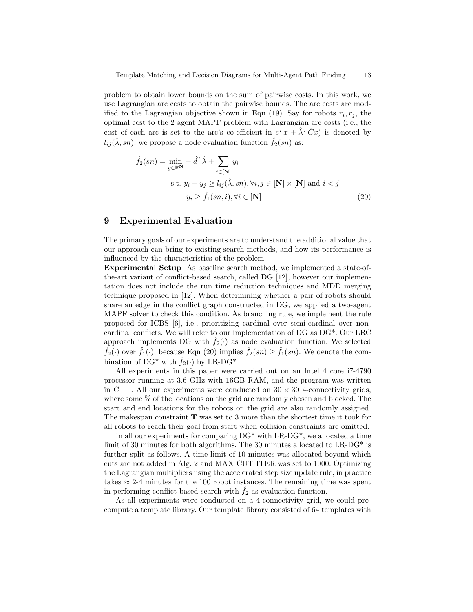problem to obtain lower bounds on the sum of pairwise costs. In this work, we use Lagrangian arc costs to obtain the pairwise bounds. The arc costs are modified to the Lagrangian objective shown in Eqn (19). Say for robots  $r_i, r_j$ , the optimal cost to the 2 agent MAPF problem with Lagrangian arc costs (i.e., the cost of each arc is set to the arc's co-efficient in  $c^T x + \hat{\lambda}^T C x$  is denoted by  $l_{ij}(\hat{\lambda}, sn)$ , we propose a node evaluation function  $\hat{f}_2(sn)$  as:

$$
\hat{f}_2(sn) = \min_{y \in \mathbb{R}^N} -\hat{d}^T \hat{\lambda} + \sum_{i \in [\mathbf{N}]} y_i
$$
  
s.t.  $y_i + y_j \ge l_{ij}(\hat{\lambda}, sn), \forall i, j \in [\mathbf{N}] \times [\mathbf{N}] \text{ and } i < j$   
 $y_i \ge \hat{f}_1(sn, i), \forall i \in [\mathbf{N}]$  (20)

# 9 Experimental Evaluation

The primary goals of our experiments are to understand the additional value that our approach can bring to existing search methods, and how its performance is influenced by the characteristics of the problem.

Experimental Setup As baseline search method, we implemented a state-ofthe-art variant of conflict-based search, called DG [12], however our implementation does not include the run time reduction techniques and MDD merging technique proposed in [12]. When determining whether a pair of robots should share an edge in the conflict graph constructed in DG, we applied a two-agent MAPF solver to check this condition. As branching rule, we implement the rule proposed for ICBS [6], i.e., prioritizing cardinal over semi-cardinal over noncardinal conflicts. We will refer to our implementation of DG as DG\*. Our LRC approach implements DG with  $f_2(\cdot)$  as node evaluation function. We selected  $\hat{f}_2(\cdot)$  over  $\hat{f}_1(\cdot)$ , because Eqn (20) implies  $\hat{f}_2(sn) \geq \hat{f}_1(sn)$ . We denote the combination of DG<sup>\*</sup> with  $\hat{f}_2(\cdot)$  by LR-DG<sup>\*</sup>.

All experiments in this paper were carried out on an Intel 4 core i7-4790 processor running at 3.6 GHz with 16GB RAM, and the program was written in C++. All our experiments were conducted on  $30 \times 30$  4-connectivity grids, where some % of the locations on the grid are randomly chosen and blocked. The start and end locations for the robots on the grid are also randomly assigned. The makespan constraint  $\mathbf T$  was set to 3 more than the shortest time it took for all robots to reach their goal from start when collision constraints are omitted.

In all our experiments for comparing  $DG^*$  with  $LR-DG^*$ , we allocated a time limit of 30 minutes for both algorithms. The 30 minutes allocated to LR-DG\* is further split as follows. A time limit of 10 minutes was allocated beyond which cuts are not added in Alg. 2 and MAX CUT ITER was set to 1000. Optimizing the Lagrangian multipliers using the accelerated step size update rule, in practice takes  $\approx 2$ -4 minutes for the 100 robot instances. The remaining time was spent in performing conflict based search with  $f_2$  as evaluation function.

As all experiments were conducted on a 4-connectivity grid, we could precompute a template library. Our template library consisted of 64 templates with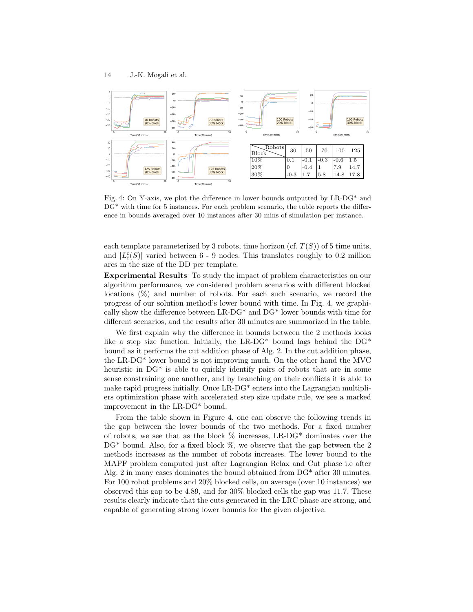

Fig. 4: On Y-axis, we plot the difference in lower bounds outputted by LR-DG\* and DG\* with time for 5 instances. For each problem scenario, the table reports the difference in bounds averaged over 10 instances after 30 mins of simulation per instance.

each template parameterized by 3 robots, time horizon (cf.  $T(S)$ ) of 5 time units, and  $|L_i^t(S)|$  varied between 6 - 9 nodes. This translates roughly to 0.2 million arcs in the size of the DD per template.

Experimental Results To study the impact of problem characteristics on our algorithm performance, we considered problem scenarios with different blocked locations (%) and number of robots. For each such scenario, we record the progress of our solution method's lower bound with time. In Fig. 4, we graphically show the difference between LR-DG\* and DG\* lower bounds with time for different scenarios, and the results after 30 minutes are summarized in the table.

We first explain why the difference in bounds between the 2 methods looks like a step size function. Initially, the LR-DG\* bound lags behind the  $DG*$ bound as it performs the cut addition phase of Alg. 2. In the cut addition phase, the LR-DG\* lower bound is not improving much. On the other hand the MVC heuristic in DG<sup>\*</sup> is able to quickly identify pairs of robots that are in some sense constraining one another, and by branching on their conflicts it is able to make rapid progress initially. Once LR-DG\* enters into the Lagrangian multipliers optimization phase with accelerated step size update rule, we see a marked improvement in the LR-DG\* bound.

From the table shown in Figure 4, one can observe the following trends in the gap between the lower bounds of the two methods. For a fixed number of robots, we see that as the block  $\%$  increases, LR-DG\* dominates over the  $DG^*$  bound. Also, for a fixed block  $\%$ , we observe that the gap between the 2 methods increases as the number of robots increases. The lower bound to the MAPF problem computed just after Lagrangian Relax and Cut phase i.e after Alg. 2 in many cases dominates the bound obtained from DG\* after 30 minutes. For 100 robot problems and 20% blocked cells, on average (over 10 instances) we observed this gap to be 4.89, and for 30% blocked cells the gap was 11.7. These results clearly indicate that the cuts generated in the LRC phase are strong, and capable of generating strong lower bounds for the given objective.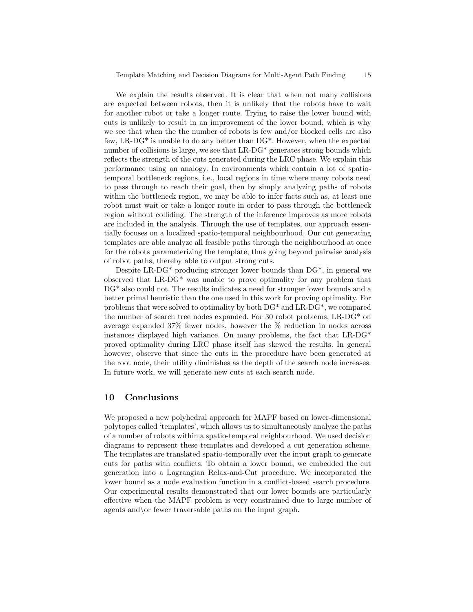We explain the results observed. It is clear that when not many collisions are expected between robots, then it is unlikely that the robots have to wait for another robot or take a longer route. Trying to raise the lower bound with cuts is unlikely to result in an improvement of the lower bound, which is why we see that when the the number of robots is few and/or blocked cells are also few, LR-DG\* is unable to do any better than DG\*. However, when the expected number of collisions is large, we see that LR-DG<sup>\*</sup> generates strong bounds which reflects the strength of the cuts generated during the LRC phase. We explain this performance using an analogy. In environments which contain a lot of spatiotemporal bottleneck regions, i.e., local regions in time where many robots need to pass through to reach their goal, then by simply analyzing paths of robots within the bottleneck region, we may be able to infer facts such as, at least one robot must wait or take a longer route in order to pass through the bottleneck region without colliding. The strength of the inference improves as more robots are included in the analysis. Through the use of templates, our approach essentially focuses on a localized spatio-temporal neighbourhood. Our cut generating templates are able analyze all feasible paths through the neighbourhood at once for the robots parameterizing the template, thus going beyond pairwise analysis of robot paths, thereby able to output strong cuts.

Despite LR-DG\* producing stronger lower bounds than DG\*, in general we observed that LR-DG\* was unable to prove optimality for any problem that DG\* also could not. The results indicates a need for stronger lower bounds and a better primal heuristic than the one used in this work for proving optimality. For problems that were solved to optimality by both DG\* and LR-DG\*, we compared the number of search tree nodes expanded. For 30 robot problems, LR-DG\* on average expanded 37% fewer nodes, however the % reduction in nodes across instances displayed high variance. On many problems, the fact that LR-DG\* proved optimality during LRC phase itself has skewed the results. In general however, observe that since the cuts in the procedure have been generated at the root node, their utility diminishes as the depth of the search node increases. In future work, we will generate new cuts at each search node.

# 10 Conclusions

We proposed a new polyhedral approach for MAPF based on lower-dimensional polytopes called 'templates', which allows us to simultaneously analyze the paths of a number of robots within a spatio-temporal neighbourhood. We used decision diagrams to represent these templates and developed a cut generation scheme. The templates are translated spatio-temporally over the input graph to generate cuts for paths with conflicts. To obtain a lower bound, we embedded the cut generation into a Lagrangian Relax-and-Cut procedure. We incorporated the lower bound as a node evaluation function in a conflict-based search procedure. Our experimental results demonstrated that our lower bounds are particularly effective when the MAPF problem is very constrained due to large number of agents and\or fewer traversable paths on the input graph.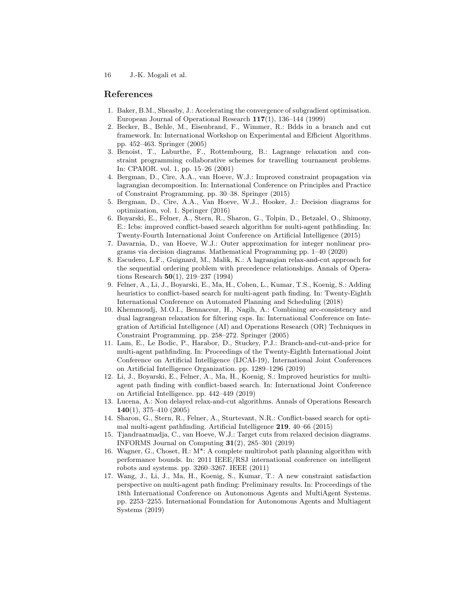## References

- 1. Baker, B.M., Sheasby, J.: Accelerating the convergence of subgradient optimisation. European Journal of Operational Research 117(1), 136–144 (1999)
- 2. Becker, B., Behle, M., Eisenbrand, F., Wimmer, R.: Bdds in a branch and cut framework. In: International Workshop on Experimental and Efficient Algorithms. pp. 452–463. Springer (2005)
- 3. Benoist, T., Laburthe, F., Rottembourg, B.: Lagrange relaxation and constraint programming collaborative schemes for travelling tournament problems. In: CPAIOR. vol. 1, pp. 15–26 (2001)
- 4. Bergman, D., Cire, A.A., van Hoeve, W.J.: Improved constraint propagation via lagrangian decomposition. In: International Conference on Principles and Practice of Constraint Programming. pp. 30–38. Springer (2015)
- 5. Bergman, D., Cire, A.A., Van Hoeve, W.J., Hooker, J.: Decision diagrams for optimization, vol. 1. Springer (2016)
- 6. Boyarski, E., Felner, A., Stern, R., Sharon, G., Tolpin, D., Betzalel, O., Shimony, E.: Icbs: improved conflict-based search algorithm for multi-agent pathfinding. In: Twenty-Fourth International Joint Conference on Artificial Intelligence (2015)
- 7. Davarnia, D., van Hoeve, W.J.: Outer approximation for integer nonlinear programs via decision diagrams. Mathematical Programming pp. 1–40 (2020)
- 8. Escudero, L.F., Guignard, M., Malik, K.: A lagrangian relax-and-cut approach for the sequential ordering problem with precedence relationships. Annals of Operations Research  $50(1)$ , 219–237 (1994)
- 9. Felner, A., Li, J., Boyarski, E., Ma, H., Cohen, L., Kumar, T.S., Koenig, S.: Adding heuristics to conflict-based search for multi-agent path finding. In: Twenty-Eighth International Conference on Automated Planning and Scheduling (2018)
- 10. Khemmoudj, M.O.I., Bennaceur, H., Nagih, A.: Combining arc-consistency and dual lagrangean relaxation for filtering csps. In: International Conference on Integration of Artificial Intelligence (AI) and Operations Research (OR) Techniques in Constraint Programming. pp. 258–272. Springer (2005)
- 11. Lam, E., Le Bodic, P., Harabor, D., Stuckey, P.J.: Branch-and-cut-and-price for multi-agent pathfinding. In: Proceedings of the Twenty-Eighth International Joint Conference on Artificial Intelligence (IJCAI-19), International Joint Conferences on Artificial Intelligence Organization. pp. 1289–1296 (2019)
- 12. Li, J., Boyarski, E., Felner, A., Ma, H., Koenig, S.: Improved heuristics for multiagent path finding with conflict-based search. In: International Joint Conference on Artificial Intelligence. pp. 442–449 (2019)
- 13. Lucena, A.: Non delayed relax-and-cut algorithms. Annals of Operations Research 140(1), 375–410 (2005)
- 14. Sharon, G., Stern, R., Felner, A., Sturtevant, N.R.: Conflict-based search for optimal multi-agent pathfinding. Artificial Intelligence 219, 40–66 (2015)
- 15. Tjandraatmadja, C., van Hoeve, W.J.: Target cuts from relaxed decision diagrams. INFORMS Journal on Computing  $31(2)$ , 285–301 (2019)
- 16. Wagner, G., Choset, H.: M\*: A complete multirobot path planning algorithm with performance bounds. In: 2011 IEEE/RSJ international conference on intelligent robots and systems. pp. 3260–3267. IEEE (2011)
- 17. Wang, J., Li, J., Ma, H., Koenig, S., Kumar, T.: A new constraint satisfaction perspective on multi-agent path finding: Preliminary results. In: Proceedings of the 18th International Conference on Autonomous Agents and MultiAgent Systems. pp. 2253–2255. International Foundation for Autonomous Agents and Multiagent Systems (2019)